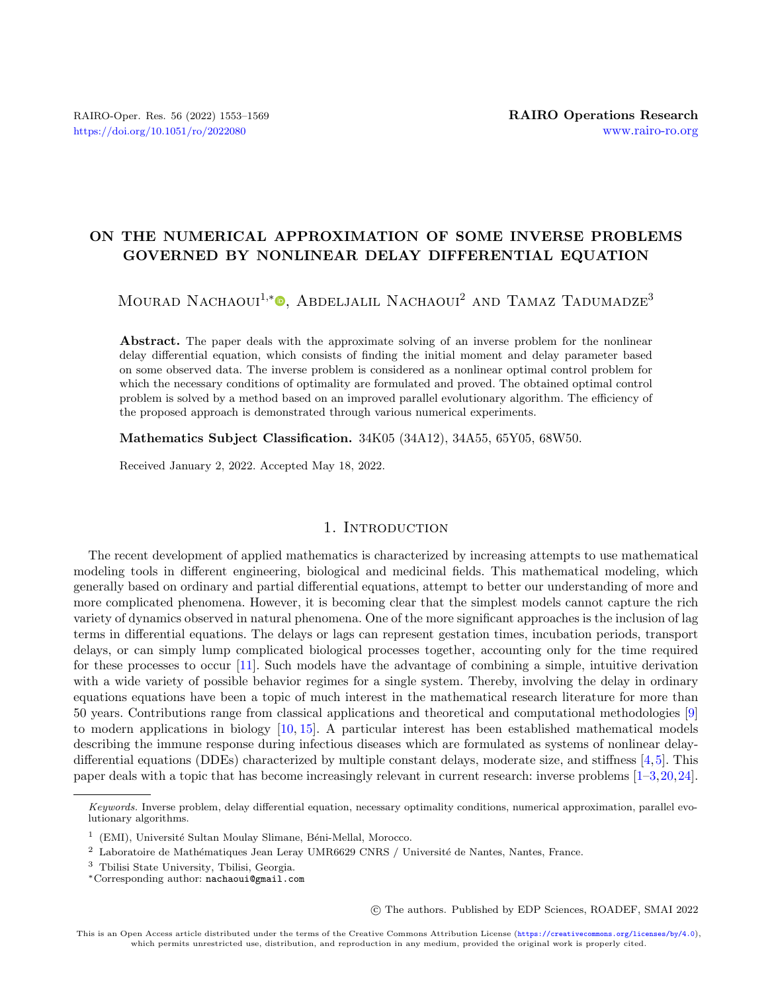# ON THE NUMERICAL APPROXIMATION OF SOME INVERSE PROBLEMS GOVERNED BY NONLINEAR DELAY DIFFERENTIAL EQUATION

Mourad Nachaoui<sup>1[,](https://orcid.org/0000-0002-4020-5401)\*</sup><sup>®</sup>, Abdeljalil Nachaoui<sup>2</sup> and Tamaz Tadumadze<sup>3</sup>

Abstract. The paper deals with the approximate solving of an inverse problem for the nonlinear delay differential equation, which consists of finding the initial moment and delay parameter based on some observed data. The inverse problem is considered as a nonlinear optimal control problem for which the necessary conditions of optimality are formulated and proved. The obtained optimal control problem is solved by a method based on an improved parallel evolutionary algorithm. The efficiency of the proposed approach is demonstrated through various numerical experiments.

Mathematics Subject Classification. 34K05 (34A12), 34A55, 65Y05, 68W50.

Received January 2, 2022. Accepted May 18, 2022.

# 1. INTRODUCTION

The recent development of applied mathematics is characterized by increasing attempts to use mathematical modeling tools in different engineering, biological and medicinal fields. This mathematical modeling, which generally based on ordinary and partial differential equations, attempt to better our understanding of more and more complicated phenomena. However, it is becoming clear that the simplest models cannot capture the rich variety of dynamics observed in natural phenomena. One of the more significant approaches is the inclusion of lag terms in differential equations. The delays or lags can represent gestation times, incubation periods, transport delays, or can simply lump complicated biological processes together, accounting only for the time required for these processes to occur [\[11\]](#page-15-0). Such models have the advantage of combining a simple, intuitive derivation with a wide variety of possible behavior regimes for a single system. Thereby, involving the delay in ordinary equations equations have been a topic of much interest in the mathematical research literature for more than 50 years. Contributions range from classical applications and theoretical and computational methodologies [\[9\]](#page-15-1) to modern applications in biology [\[10,](#page-15-2) [15\]](#page-15-3). A particular interest has been established mathematical models describing the immune response during infectious diseases which are formulated as systems of nonlinear delaydifferential equations (DDEs) characterized by multiple constant delays, moderate size, and stiffness [\[4,](#page-15-4)[5\]](#page-15-5). This paper deals with a topic that has become increasingly relevant in current research: inverse problems [\[1–](#page-15-6)[3,](#page-15-7)[20,](#page-16-0)[24\]](#page-16-1).

○c The authors. Published by EDP Sciences, ROADEF, SMAI 2022

Keywords. Inverse problem, delay differential equation, necessary optimality conditions, numerical approximation, parallel evolutionary algorithms.

<sup>&</sup>lt;sup>1</sup> (EMI), Université Sultan Moulay Slimane, Béni-Mellal, Morocco.

 $^2\,$  Laboratoire de Mathématiques Jean Leray UMR6629 CNRS / Université de Nantes, Nantes, France.

<sup>3</sup> Tbilisi State University, Tbilisi, Georgia.

<sup>\*</sup>Corresponding author: [nachaoui@gmail.com](mailto:nachaoui@gmail.com)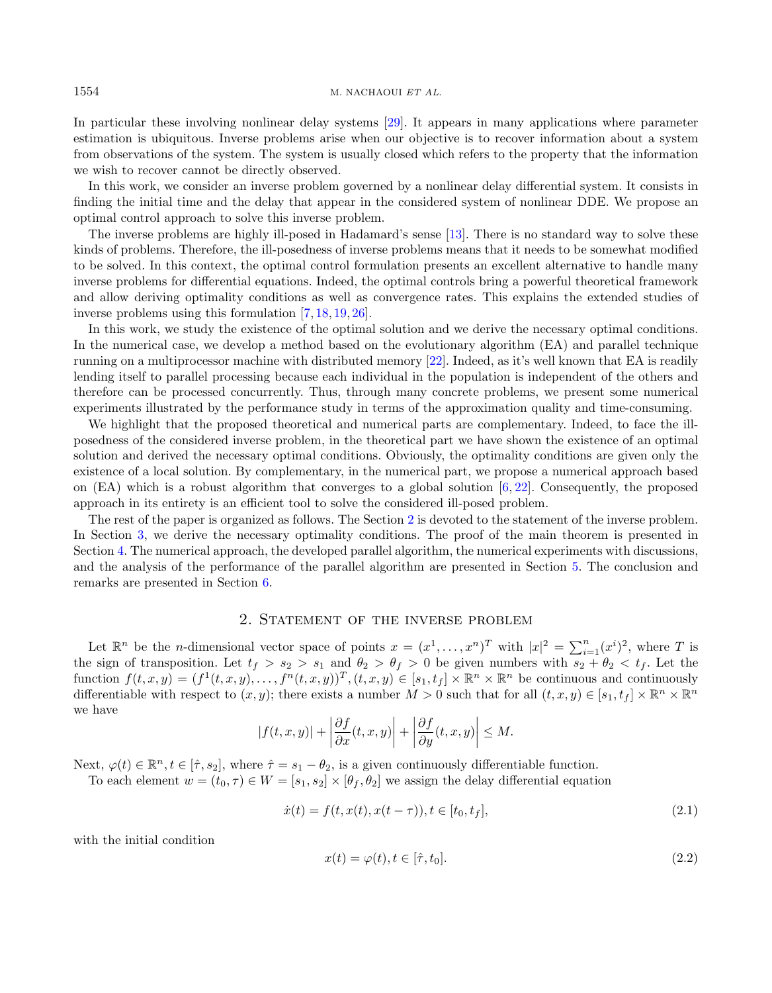In particular these involving nonlinear delay systems [\[29\]](#page-16-2). It appears in many applications where parameter estimation is ubiquitous. Inverse problems arise when our objective is to recover information about a system from observations of the system. The system is usually closed which refers to the property that the information we wish to recover cannot be directly observed.

In this work, we consider an inverse problem governed by a nonlinear delay differential system. It consists in finding the initial time and the delay that appear in the considered system of nonlinear DDE. We propose an optimal control approach to solve this inverse problem.

The inverse problems are highly ill-posed in Hadamard's sense [\[13\]](#page-15-8). There is no standard way to solve these kinds of problems. Therefore, the ill-posedness of inverse problems means that it needs to be somewhat modified to be solved. In this context, the optimal control formulation presents an excellent alternative to handle many inverse problems for differential equations. Indeed, the optimal controls bring a powerful theoretical framework and allow deriving optimality conditions as well as convergence rates. This explains the extended studies of inverse problems using this formulation [\[7,](#page-15-9) [18,](#page-15-10) [19,](#page-15-11) [26\]](#page-16-3).

In this work, we study the existence of the optimal solution and we derive the necessary optimal conditions. In the numerical case, we develop a method based on the evolutionary algorithm (EA) and parallel technique running on a multiprocessor machine with distributed memory [\[22\]](#page-16-4). Indeed, as it's well known that EA is readily lending itself to parallel processing because each individual in the population is independent of the others and therefore can be processed concurrently. Thus, through many concrete problems, we present some numerical experiments illustrated by the performance study in terms of the approximation quality and time-consuming.

We highlight that the proposed theoretical and numerical parts are complementary. Indeed, to face the illposedness of the considered inverse problem, in the theoretical part we have shown the existence of an optimal solution and derived the necessary optimal conditions. Obviously, the optimality conditions are given only the existence of a local solution. By complementary, in the numerical part, we propose a numerical approach based on (EA) which is a robust algorithm that converges to a global solution [\[6,](#page-15-12) [22\]](#page-16-4). Consequently, the proposed approach in its entirety is an efficient tool to solve the considered ill-posed problem.

The rest of the paper is organized as follows. The Section [2](#page-1-0) is devoted to the statement of the inverse problem. In Section [3,](#page-2-0) we derive the necessary optimality conditions. The proof of the main theorem is presented in Section [4.](#page-4-0) The numerical approach, the developed parallel algorithm, the numerical experiments with discussions, and the analysis of the performance of the parallel algorithm are presented in Section [5.](#page-6-0) The conclusion and remarks are presented in Section [6.](#page-15-13)

# <span id="page-1-2"></span><span id="page-1-1"></span>2. Statement of the inverse problem

<span id="page-1-0"></span>Let  $\mathbb{R}^n$  be the *n*-dimensional vector space of points  $x = (x^1, \ldots, x^n)^T$  with  $|x|^2 = \sum_{i=1}^n (x^i)^2$ , where T is the sign of transposition. Let  $t_f > s_2 > s_1$  and  $\theta_2 > \theta_f > 0$  be given numbers with  $s_2 + \theta_2 < t_f$ . Let the function  $f(t, x, y) = (f^1(t, x, y), \dots, f^n(t, x, y))^T, (t, x, y) \in [s_1, t_f] \times \mathbb{R}^n \times \mathbb{R}^n$  be continuous and continuously differentiable with respect to  $(x, y)$ ; there exists a number  $M > 0$  such that for all  $(t, x, y) \in [s_1, t_f] \times \mathbb{R}^n \times \mathbb{R}^n$ we have

$$
|f(t,x,y)| + \left|\frac{\partial f}{\partial x}(t,x,y)\right| + \left|\frac{\partial f}{\partial y}(t,x,y)\right| \le M.
$$

Next,  $\varphi(t) \in \mathbb{R}^n, t \in [\hat{\tau}, s_2]$ , where  $\hat{\tau} = s_1 - \theta_2$ , is a given continuously differentiable function.

To each element  $w = (t_0, \tau) \in W = [s_1, s_2] \times [\theta_f, \theta_2]$  we assign the delay differential equation

$$
\dot{x}(t) = f(t, x(t), x(t - \tau)), t \in [t_0, t_f],
$$
\n(2.1)

with the initial condition

$$
x(t) = \varphi(t), t \in [\hat{\tau}, t_0]. \tag{2.2}
$$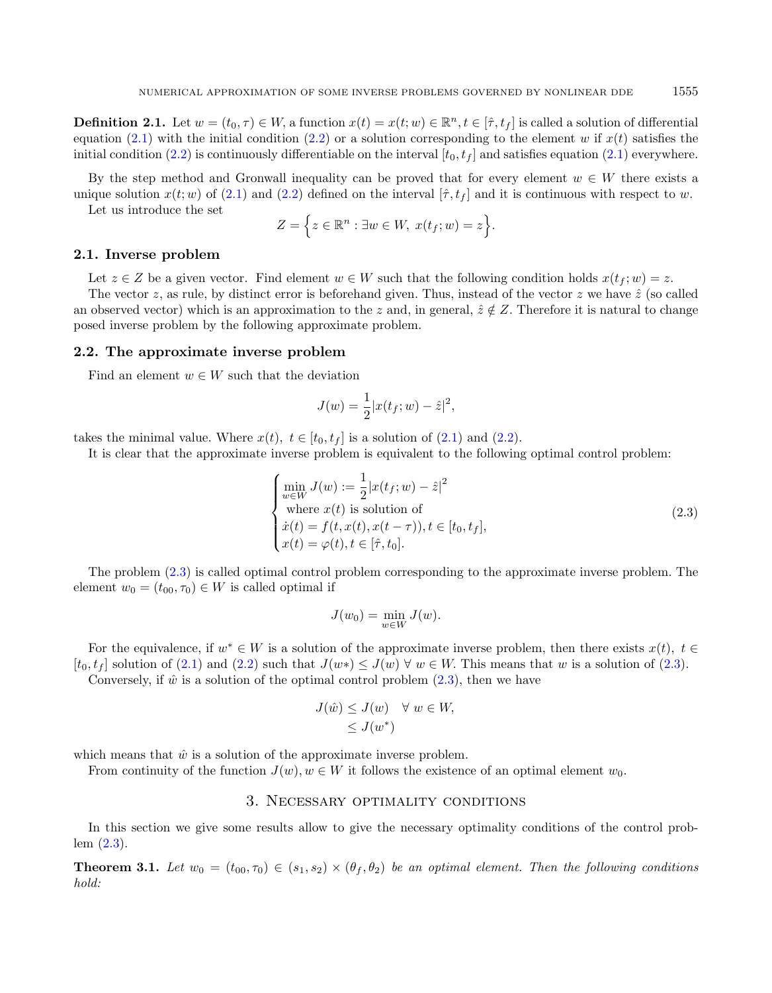**Definition 2.1.** Let  $w = (t_0, \tau) \in W$ , a function  $x(t) = x(t; w) \in \mathbb{R}^n$ ,  $t \in [\hat{\tau}, t_f]$  is called a solution of differential equation [\(2.1\)](#page-1-1) with the initial condition [\(2.2\)](#page-1-2) or a solution corresponding to the element  $w$  if  $x(t)$  satisfies the initial condition [\(2.2\)](#page-1-2) is continuously differentiable on the interval  $[t_0, t_f]$  and satisfies equation [\(2.1\)](#page-1-1) everywhere.

By the step method and Gronwall inequality can be proved that for every element  $w \in W$  there exists a unique solution  $x(t; w)$  of [\(2.1\)](#page-1-1) and [\(2.2\)](#page-1-2) defined on the interval  $[\hat{\tau}, t_f]$  and it is continuous with respect to w.

Let us introduce the set

$$
Z = \Big\{ z \in \mathbb{R}^n : \exists w \in W, \ x(t_f; w) = z \Big\}.
$$

## 2.1. Inverse problem

Let  $z \in Z$  be a given vector. Find element  $w \in W$  such that the following condition holds  $x(t_f; w) = z$ .

The vector  $z$ , as rule, by distinct error is beforehand given. Thus, instead of the vector  $z$  we have  $\hat{z}$  (so called an observed vector) which is an approximation to the z and, in general,  $\hat{z} \notin Z$ . Therefore it is natural to change posed inverse problem by the following approximate problem.

#### 2.2. The approximate inverse problem

Find an element  $w \in W$  such that the deviation

<span id="page-2-1"></span>
$$
J(w) = \frac{1}{2}|x(t_f; w) - \hat{z}|^2,
$$

takes the minimal value. Where  $x(t)$ ,  $t \in [t_0, t_f]$  is a solution of [\(2.1\)](#page-1-1) and [\(2.2\)](#page-1-2).

It is clear that the approximate inverse problem is equivalent to the following optimal control problem:

$$
\begin{cases}\n\min_{w \in W} J(w) := \frac{1}{2} |x(t_f; w) - \hat{z}|^2 \\
\text{where } x(t) \text{ is solution of} \\
\dot{x}(t) = f(t, x(t), x(t - \tau)), t \in [t_0, t_f], \\
x(t) = \varphi(t), t \in [\hat{\tau}, t_0].\n\end{cases}
$$
\n(2.3)

The problem [\(2.3\)](#page-2-1) is called optimal control problem corresponding to the approximate inverse problem. The element  $w_0 = (t_{00}, \tau_0) \in W$  is called optimal if

$$
J(w_0) = \min_{w \in W} J(w).
$$

For the equivalence, if  $w^* \in W$  is a solution of the approximate inverse problem, then there exists  $x(t)$ ,  $t \in$  $[t_0, t_f]$  solution of [\(2.1\)](#page-1-1) and [\(2.2\)](#page-1-2) such that  $J(w*) \leq J(w) \forall w \in W$ . This means that w is a solution of [\(2.3\)](#page-2-1).

<span id="page-2-2"></span>Conversely, if  $\hat{w}$  is a solution of the optimal control problem [\(2.3\)](#page-2-1), then we have

$$
J(\hat{w}) \le J(w) \quad \forall \ w \in W, \le J(w^*)
$$

which means that  $\hat{w}$  is a solution of the approximate inverse problem.

<span id="page-2-0"></span>From continuity of the function  $J(w)$ ,  $w \in W$  it follows the existence of an optimal element  $w_0$ .

# 3. Necessary optimality conditions

In this section we give some results allow to give the necessary optimality conditions of the control problem [\(2.3\)](#page-2-1).

**Theorem 3.1.** Let  $w_0 = (t_{00}, \tau_0) \in (s_1, s_2) \times (\theta_f, \theta_2)$  be an optimal element. Then the following conditions hold: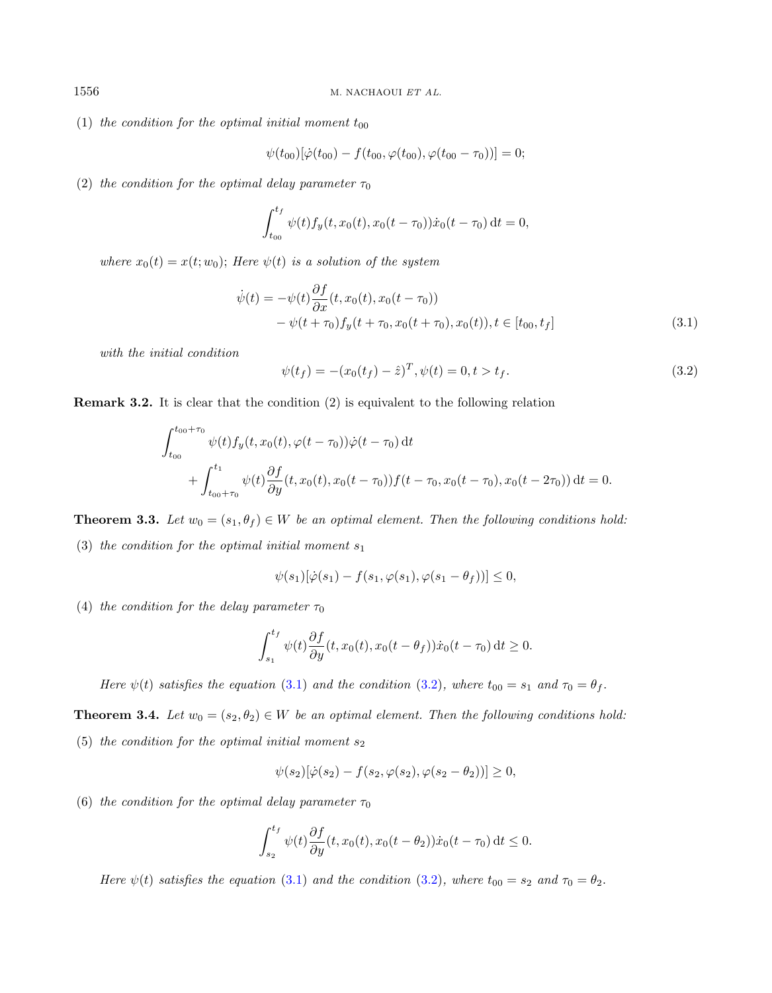(1) the condition for the optimal initial moment  $t_{00}$ 

<span id="page-3-1"></span><span id="page-3-0"></span>
$$
\psi(t_{00})[\dot{\varphi}(t_{00})-f(t_{00},\varphi(t_{00}),\varphi(t_{00}-\tau_0))]=0;
$$

(2) the condition for the optimal delay parameter  $\tau_0$ 

$$
\int_{t_{00}}^{t_f} \psi(t) f_y(t, x_0(t), x_0(t - \tau_0)) \dot{x}_0(t - \tau_0) dt = 0,
$$

where  $x_0(t) = x(t; w_0)$ ; Here  $\psi(t)$  is a solution of the system

$$
\dot{\psi}(t) = -\psi(t)\frac{\partial f}{\partial x}(t, x_0(t), x_0(t - \tau_0)) \n- \psi(t + \tau_0) f_y(t + \tau_0, x_0(t + \tau_0), x_0(t)), t \in [t_{00}, t_f]
$$
\n(3.1)

with the initial condition

$$
\psi(t_f) = -(x_0(t_f) - \hat{z})^T, \psi(t) = 0, t > t_f.
$$
\n(3.2)

Remark 3.2. It is clear that the condition (2) is equivalent to the following relation

$$
\int_{t_{00}}^{t_{00}+\tau_{0}} \psi(t) f_{y}(t, x_{0}(t), \varphi(t-\tau_{0})) \dot{\varphi}(t-\tau_{0}) dt + \int_{t_{00}+\tau_{0}}^{t_{1}} \psi(t) \frac{\partial f}{\partial y}(t, x_{0}(t), x_{0}(t-\tau_{0})) f(t-\tau_{0}, x_{0}(t-\tau_{0}), x_{0}(t-2\tau_{0})) dt = 0.
$$

<span id="page-3-2"></span>**Theorem 3.3.** Let  $w_0 = (s_1, \theta_f) \in W$  be an optimal element. Then the following conditions hold:

(3) the condition for the optimal initial moment  $s_1$ 

$$
\psi(s_1)[\dot{\varphi}(s_1) - f(s_1, \varphi(s_1), \varphi(s_1 - \theta_f))] \leq 0,
$$

(4) the condition for the delay parameter  $\tau_0$ 

$$
\int_{s_1}^{t_f} \psi(t) \frac{\partial f}{\partial y}(t, x_0(t), x_0(t - \theta_f)) \dot{x}_0(t - \tau_0) dt \ge 0.
$$

Here  $\psi(t)$  satisfies the equation [\(3.1\)](#page-3-0) and the condition [\(3.2\)](#page-3-1), where  $t_{00} = s_1$  and  $\tau_0 = \theta_f$ .

**Theorem 3.4.** Let  $w_0 = (s_2, \theta_2) \in W$  be an optimal element. Then the following conditions hold: (5) the condition for the optimal initial moment  $s_2$ 

$$
\psi(s_2)[\dot{\varphi}(s_2) - f(s_2, \varphi(s_2), \varphi(s_2 - \theta_2))] \ge 0,
$$

(6) the condition for the optimal delay parameter  $\tau_0$ 

$$
\int_{s_2}^{t_f} \psi(t) \frac{\partial f}{\partial y}(t, x_0(t), x_0(t - \theta_2)) \dot{x}_0(t - \tau_0) dt \le 0.
$$

Here  $\psi(t)$  satisfies the equation [\(3.1\)](#page-3-0) and the condition [\(3.2\)](#page-3-1), where  $t_{00} = s_2$  and  $\tau_0 = \theta_2$ .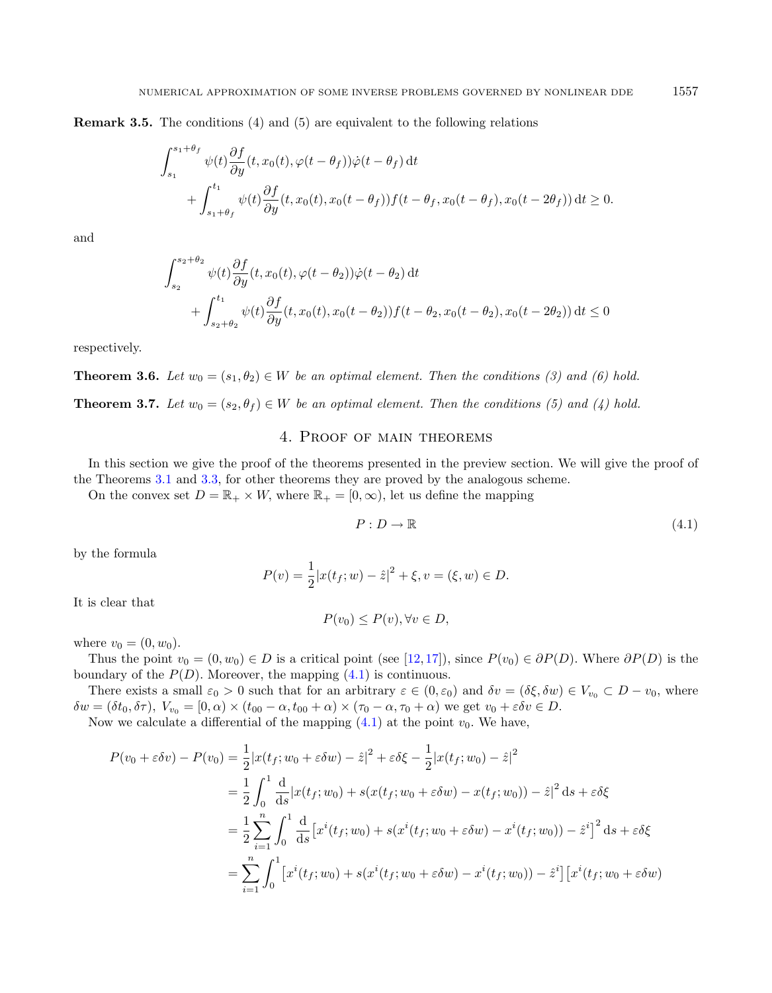Remark 3.5. The conditions (4) and (5) are equivalent to the following relations

$$
\int_{s_1}^{s_1+\theta_f} \psi(t) \frac{\partial f}{\partial y}(t, x_0(t), \varphi(t-\theta_f)) \dot{\varphi}(t-\theta_f) dt + \int_{s_1+\theta_f}^{t_1} \psi(t) \frac{\partial f}{\partial y}(t, x_0(t), x_0(t-\theta_f)) f(t-\theta_f, x_0(t-\theta_f), x_0(t-2\theta_f)) dt \ge 0.
$$

and

$$
\int_{s_2}^{s_2+\theta_2} \psi(t) \frac{\partial f}{\partial y}(t, x_0(t), \varphi(t-\theta_2)) \dot{\varphi}(t-\theta_2) dt + \int_{s_2+\theta_2}^{t_1} \psi(t) \frac{\partial f}{\partial y}(t, x_0(t), x_0(t-\theta_2)) f(t-\theta_2, x_0(t-\theta_2), x_0(t-2\theta_2)) dt \le 0
$$

respectively.

**Theorem 3.6.** Let  $w_0 = (s_1, \theta_2) \in W$  be an optimal element. Then the conditions (3) and (6) hold.

**Theorem 3.7.** Let  $w_0 = (s_2, \theta_f) \in W$  be an optimal element. Then the conditions (5) and (4) hold.

# 4. Proof of main theorems

<span id="page-4-0"></span>In this section we give the proof of the theorems presented in the preview section. We will give the proof of the Theorems [3.1](#page-2-2) and [3.3,](#page-3-2) for other theorems they are proved by the analogous scheme.

On the convex set  $D = \mathbb{R}_+ \times W$ , where  $\mathbb{R}_+ = [0, \infty)$ , let us define the mapping

$$
P: D \to \mathbb{R} \tag{4.1}
$$

by the formula

$$
P(v) = \frac{1}{2}|x(t_f; w) - \hat{z}|^2 + \xi, v = (\xi, w) \in D.
$$

It is clear that

$$
P(v_0) \le P(v), \forall v \in D,
$$

where  $v_0 = (0, w_0)$ .

Thus the point  $v_0 = (0, w_0) \in D$  is a critical point (see [\[12,](#page-15-14)[17\]](#page-15-15)), since  $P(v_0) \in \partial P(D)$ . Where  $\partial P(D)$  is the boundary of the  $P(D)$ . Moreover, the mapping  $(4.1)$  is continuous.

There exists a small  $\varepsilon_0 > 0$  such that for an arbitrary  $\varepsilon \in (0, \varepsilon_0)$  and  $\delta v = (\delta \xi, \delta w) \in V_{v_0} \subset D - v_0$ , where  $\delta w = (\delta t_0, \delta \tau), V_{v_0} = [0, \alpha) \times (t_{00} - \alpha, t_{00} + \alpha) \times (\tau_0 - \alpha, \tau_0 + \alpha)$  we get  $v_0 + \varepsilon \delta v \in D$ .

Now we calculate a differential of the mapping  $(4.1)$  at the point  $v_0$ . We have,

$$
P(v_0 + \varepsilon \delta v) - P(v_0) = \frac{1}{2} |x(t_f; w_0 + \varepsilon \delta w) - \hat{z}|^2 + \varepsilon \delta \xi - \frac{1}{2} |x(t_f; w_0) - \hat{z}|^2
$$
  
\n
$$
= \frac{1}{2} \int_0^1 \frac{d}{ds} |x(t_f; w_0) + s(x(t_f; w_0 + \varepsilon \delta w) - x(t_f; w_0)) - \hat{z}|^2 ds + \varepsilon \delta \xi
$$
  
\n
$$
= \frac{1}{2} \sum_{i=1}^n \int_0^1 \frac{d}{ds} [x^i(t_f; w_0) + s(x^i(t_f; w_0 + \varepsilon \delta w) - x^i(t_f; w_0)) - \hat{z}^i]^2 ds + \varepsilon \delta \xi
$$
  
\n
$$
= \sum_{i=1}^n \int_0^1 [x^i(t_f; w_0) + s(x^i(t_f; w_0 + \varepsilon \delta w) - x^i(t_f; w_0)) - \hat{z}^i] [x^i(t_f; w_0 + \varepsilon \delta w)
$$

<span id="page-4-1"></span>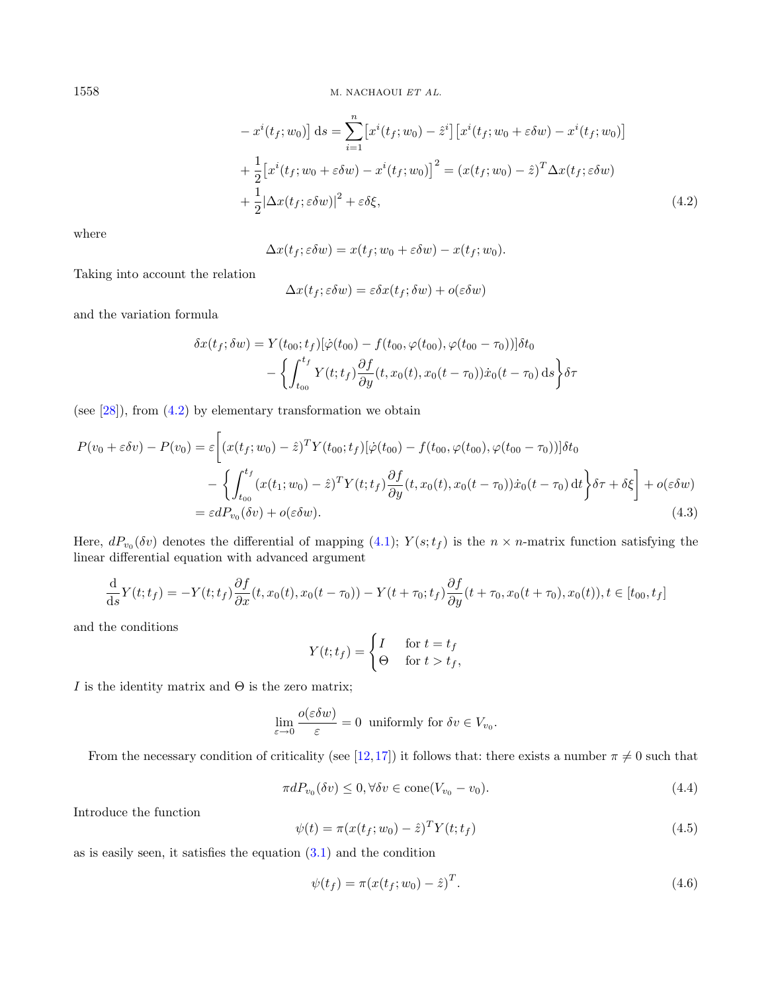<span id="page-5-0"></span>
$$
-x^{i}(t_{f}; w_{0})] ds = \sum_{i=1}^{n} \left[x^{i}(t_{f}; w_{0}) - \hat{z}^{i}\right] \left[x^{i}(t_{f}; w_{0} + \varepsilon \delta w) - x^{i}(t_{f}; w_{0})\right]
$$
  
+ 
$$
\frac{1}{2} \left[x^{i}(t_{f}; w_{0} + \varepsilon \delta w) - x^{i}(t_{f}; w_{0})\right]^{2} = (x(t_{f}; w_{0}) - \hat{z})^{T} \Delta x(t_{f}; \varepsilon \delta w)
$$
  
+ 
$$
\frac{1}{2} |\Delta x(t_{f}; \varepsilon \delta w)|^{2} + \varepsilon \delta \xi,
$$
(4.2)

where

$$
\Delta x(t_f; \varepsilon \delta w) = x(t_f; w_0 + \varepsilon \delta w) - x(t_f; w_0).
$$

Taking into account the relation

<span id="page-5-1"></span>
$$
\Delta x(t_f; \varepsilon \delta w) = \varepsilon \delta x(t_f; \delta w) + o(\varepsilon \delta w)
$$

and the variation formula

$$
\delta x(t_f; \delta w) = Y(t_{00}; t_f) [\dot{\varphi}(t_{00}) - f(t_{00}, \varphi(t_{00}), \varphi(t_{00} - \tau_0))] \delta t_0
$$

$$
- \left\{ \int_{t_{00}}^{t_f} Y(t; t_f) \frac{\partial f}{\partial y}(t, x_0(t), x_0(t - \tau_0)) \dot{x}_0(t - \tau_0) \, \mathrm{d}s \right\} \delta \tau
$$

(see [\[28\]](#page-16-5)), from [\(4.2\)](#page-5-0) by elementary transformation we obtain

$$
P(v_0 + \varepsilon \delta v) - P(v_0) = \varepsilon \left[ (x(t_f; w_0) - \hat{z})^T Y(t_{00}; t_f) [\dot{\varphi}(t_{00}) - f(t_{00}, \varphi(t_{00}), \varphi(t_{00} - \tau_0))] \delta t_0 \right. \\ \left. - \left\{ \int_{t_{00}}^{t_f} (x(t_1; w_0) - \hat{z})^T Y(t; t_f) \frac{\partial f}{\partial y}(t, x_0(t), x_0(t - \tau_0)) \dot{x}_0(t - \tau_0) dt \right\} \delta \tau + \delta \xi \right] + o(\varepsilon \delta w) \\ = \varepsilon d P_{v_0}(\delta v) + o(\varepsilon \delta w). \tag{4.3}
$$

Here,  $dP_{v_0}(\delta v)$  denotes the differential of mapping  $(4.1)$ ;  $Y(s;t_f)$  is the  $n \times n$ -matrix function satisfying the linear differential equation with advanced argument

<span id="page-5-4"></span>
$$
\frac{\mathrm{d}}{\mathrm{d}s}Y(t;t_f) = -Y(t;t_f)\frac{\partial f}{\partial x}(t,x_0(t),x_0(t-\tau_0)) - Y(t+\tau_0;t_f)\frac{\partial f}{\partial y}(t+\tau_0,x_0(t+\tau_0),x_0(t)), t \in [t_{00},t_f]
$$

and the conditions

<span id="page-5-3"></span><span id="page-5-2"></span>
$$
Y(t; t_f) = \begin{cases} I & \text{for } t = t_f \\ \Theta & \text{for } t > t_f, \end{cases}
$$

I is the identity matrix and  $\Theta$  is the zero matrix;

$$
\lim_{\varepsilon \to 0} \frac{o(\varepsilon \delta w)}{\varepsilon} = 0 \text{ uniformly for } \delta v \in V_{v_0}.
$$

From the necessary condition of criticality (see [\[12,](#page-15-14)[17\]](#page-15-15)) it follows that: there exists a number  $\pi \neq 0$  such that

$$
\pi dP_{v_0}(\delta v) \le 0, \forall \delta v \in \text{cone}(V_{v_0} - v_0). \tag{4.4}
$$

Introduce the function

$$
\psi(t) = \pi(x(t_f; w_0) - \hat{z})^T Y(t; t_f)
$$
\n(4.5)

as is easily seen, it satisfies the equation  $(3.1)$  and the condition

$$
\psi(t_f) = \pi (x(t_f; w_0) - \hat{z})^T.
$$
\n(4.6)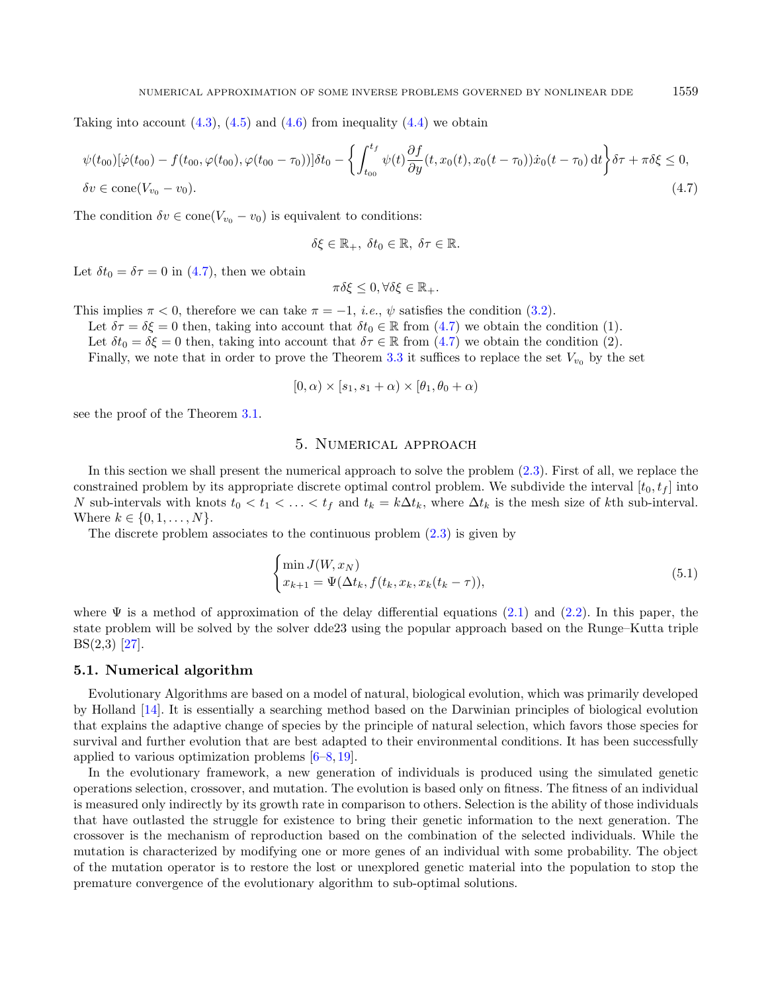Taking into account  $(4.3)$ ,  $(4.5)$  and  $(4.6)$  from inequality  $(4.4)$  we obtain

$$
\psi(t_{00})[\dot{\varphi}(t_{00}) - f(t_{00}, \varphi(t_{00}), \varphi(t_{00} - \tau_0))] \delta t_0 - \left\{ \int_{t_{00}}^{t_f} \psi(t) \frac{\partial f}{\partial y}(t, x_0(t), x_0(t - \tau_0)) \dot{x}_0(t - \tau_0) dt \right\} \delta \tau + \pi \delta \xi \le 0,
$$
  
 
$$
\delta v \in \text{cone}(V_{v_0} - v_0).
$$
 (4.7)

The condition  $\delta v \in \text{cone}(V_{v_0} - v_0)$  is equivalent to conditions:

$$
\delta \xi \in \mathbb{R}_+, \ \delta t_0 \in \mathbb{R}, \ \delta \tau \in \mathbb{R}.
$$

Let  $\delta t_0 = \delta \tau = 0$  in [\(4.7\)](#page-6-1), then we obtain

$$
\pi\delta\xi\leq 0, \forall \delta\xi\in\mathbb{R}_+.
$$

This implies  $\pi < 0$ , therefore we can take  $\pi = -1$ , *i.e.*,  $\psi$  satisfies the condition [\(3.2\)](#page-3-1).

Let  $\delta \tau = \delta \xi = 0$  then, taking into account that  $\delta t_0 \in \mathbb{R}$  from [\(4.7\)](#page-6-1) we obtain the condition (1).

Let  $\delta t_0 = \delta \xi = 0$  then, taking into account that  $\delta \tau \in \mathbb{R}$  from [\(4.7\)](#page-6-1) we obtain the condition (2).

Finally, we note that in order to prove the Theorem [3.3](#page-3-2) it suffices to replace the set  $V_{v_0}$  by the set

$$
[0, \alpha) \times [s_1, s_1 + \alpha) \times [\theta_1, \theta_0 + \alpha)
$$

<span id="page-6-0"></span>see the proof of the Theorem [3.1.](#page-2-2)

## 5. Numerical approach

In this section we shall present the numerical approach to solve the problem  $(2.3)$ . First of all, we replace the constrained problem by its appropriate discrete optimal control problem. We subdivide the interval  $[t_0, t_f]$  into N sub-intervals with knots  $t_0 < t_1 < \ldots < t_f$  and  $t_k = k \Delta t_k$ , where  $\Delta t_k$  is the mesh size of kth sub-interval. Where  $k \in \{0, 1, ..., N\}$ .

The discrete problem associates to the continuous problem  $(2.3)$  is given by

$$
\begin{cases}\n\min J(W, x_N) \\
x_{k+1} = \Psi(\Delta t_k, f(t_k, x_k, x_k(t_k - \tau)),\n\end{cases}
$$
\n(5.1)

where  $\Psi$  is a method of approximation of the delay differential equations [\(2.1\)](#page-1-1) and [\(2.2\)](#page-1-2). In this paper, the state problem will be solved by the solver dde23 using the popular approach based on the Runge–Kutta triple BS(2,3) [\[27\]](#page-16-6).

## 5.1. Numerical algorithm

Evolutionary Algorithms are based on a model of natural, biological evolution, which was primarily developed by Holland [\[14\]](#page-15-16). It is essentially a searching method based on the Darwinian principles of biological evolution that explains the adaptive change of species by the principle of natural selection, which favors those species for survival and further evolution that are best adapted to their environmental conditions. It has been successfully applied to various optimization problems  $[6-8, 19]$  $[6-8, 19]$  $[6-8, 19]$ .

In the evolutionary framework, a new generation of individuals is produced using the simulated genetic operations selection, crossover, and mutation. The evolution is based only on fitness. The fitness of an individual is measured only indirectly by its growth rate in comparison to others. Selection is the ability of those individuals that have outlasted the struggle for existence to bring their genetic information to the next generation. The crossover is the mechanism of reproduction based on the combination of the selected individuals. While the mutation is characterized by modifying one or more genes of an individual with some probability. The object of the mutation operator is to restore the lost or unexplored genetic material into the population to stop the premature convergence of the evolutionary algorithm to sub-optimal solutions.

<span id="page-6-1"></span>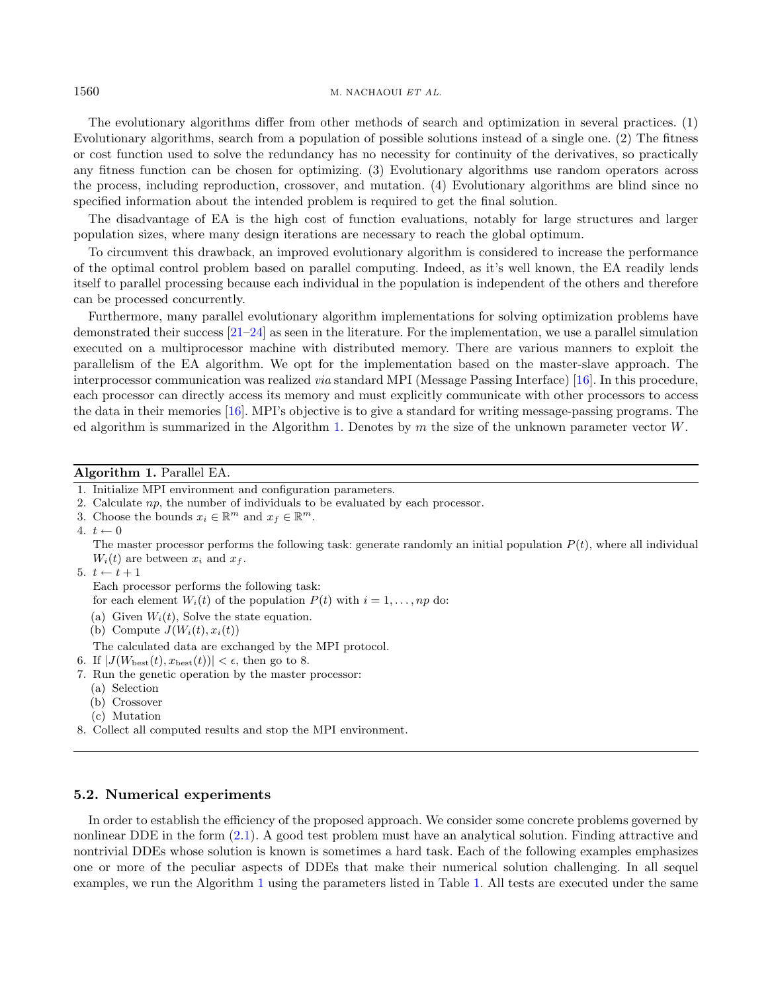The evolutionary algorithms differ from other methods of search and optimization in several practices. (1) Evolutionary algorithms, search from a population of possible solutions instead of a single one. (2) The fitness or cost function used to solve the redundancy has no necessity for continuity of the derivatives, so practically any fitness function can be chosen for optimizing. (3) Evolutionary algorithms use random operators across the process, including reproduction, crossover, and mutation. (4) Evolutionary algorithms are blind since no specified information about the intended problem is required to get the final solution.

The disadvantage of EA is the high cost of function evaluations, notably for large structures and larger population sizes, where many design iterations are necessary to reach the global optimum.

To circumvent this drawback, an improved evolutionary algorithm is considered to increase the performance of the optimal control problem based on parallel computing. Indeed, as it's well known, the EA readily lends itself to parallel processing because each individual in the population is independent of the others and therefore can be processed concurrently.

Furthermore, many parallel evolutionary algorithm implementations for solving optimization problems have demonstrated their success [\[21–](#page-16-7)[24\]](#page-16-1) as seen in the literature. For the implementation, we use a parallel simulation executed on a multiprocessor machine with distributed memory. There are various manners to exploit the parallelism of the EA algorithm. We opt for the implementation based on the master-slave approach. The interprocessor communication was realized via standard MPI (Message Passing Interface) [\[16\]](#page-15-18). In this procedure, each processor can directly access its memory and must explicitly communicate with other processors to access the data in their memories [\[16\]](#page-15-18). MPI's objective is to give a standard for writing message-passing programs. The ed algorithm is summarized in the Algorithm [1.](#page-7-0) Denotes by  $m$  the size of the unknown parameter vector  $W$ .

#### Algorithm 1. Parallel EA.

4.  $t \leftarrow 0$ 

The master processor performs the following task: generate randomly an initial population  $P(t)$ , where all individual  $W_i(t)$  are between  $x_i$  and  $x_f$ .

5.  $t \leftarrow t + 1$ 

Each processor performs the following task:

for each element  $W_i(t)$  of the population  $P(t)$  with  $i = 1, \ldots, np$  do:

- (a) Given  $W_i(t)$ , Solve the state equation.
- (b) Compute  $J(W_i(t), x_i(t))$
- The calculated data are exchanged by the MPI protocol.
- 6. If  $|J(W_{\text{best}}(t), x_{\text{best}}(t))| < \epsilon$ , then go to 8.
- 7. Run the genetic operation by the master processor:
	- (a) Selection
	- (b) Crossover
	- (c) Mutation
- 8. Collect all computed results and stop the MPI environment.

## 5.2. Numerical experiments

In order to establish the efficiency of the proposed approach. We consider some concrete problems governed by nonlinear DDE in the form [\(2.1\)](#page-1-1). A good test problem must have an analytical solution. Finding attractive and nontrivial DDEs whose solution is known is sometimes a hard task. Each of the following examples emphasizes one or more of the peculiar aspects of DDEs that make their numerical solution challenging. In all sequel examples, we run the Algorithm [1](#page-7-0) using the parameters listed in Table [1.](#page-8-0) All tests are executed under the same

<span id="page-7-0"></span><sup>1.</sup> Initialize MPI environment and configuration parameters.

<sup>2.</sup> Calculate  $np$ , the number of individuals to be evaluated by each processor.

<sup>3.</sup> Choose the bounds  $x_i \in \mathbb{R}^m$  and  $x_f \in \mathbb{R}^m$ .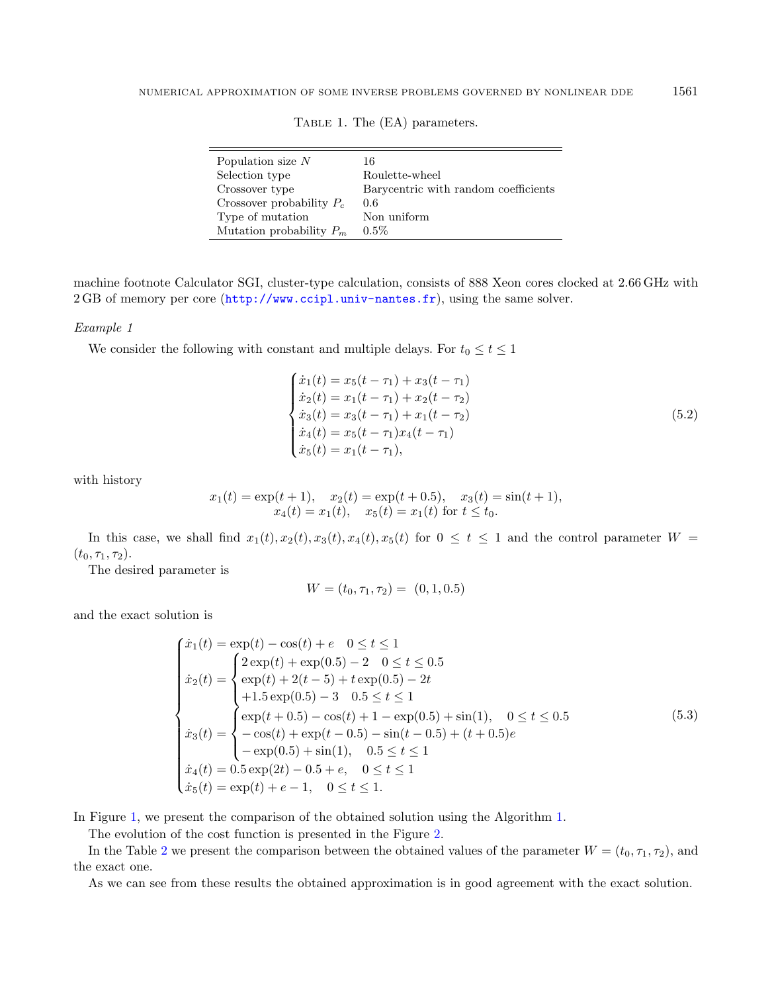<span id="page-8-0"></span>

| Population size $N$         | 16                                   |
|-----------------------------|--------------------------------------|
| Selection type              | Roulette-wheel                       |
| Crossover type              | Barycentric with random coefficients |
| Crossover probability $P_c$ | 0.6                                  |
| Type of mutation            | Non uniform                          |
| Mutation probability $P_m$  | $0.5\%$                              |

<span id="page-8-1"></span>TABLE 1. The (EA) parameters.

machine footnote Calculator SGI, cluster-type calculation, consists of 888 Xeon cores clocked at 2.66 GHz with 2 GB of memory per core (<http://www.ccipl.univ-nantes.fr>), using the same solver.

## Example 1

We consider the following with constant and multiple delays. For  $t_0 \le t \le 1$ 

$$
\begin{cases}\n\dot{x}_1(t) = x_5(t - \tau_1) + x_3(t - \tau_1) \\
\dot{x}_2(t) = x_1(t - \tau_1) + x_2(t - \tau_2) \\
\dot{x}_3(t) = x_3(t - \tau_1) + x_1(t - \tau_2) \\
\dot{x}_4(t) = x_5(t - \tau_1)x_4(t - \tau_1) \\
\dot{x}_5(t) = x_1(t - \tau_1),\n\end{cases} \tag{5.2}
$$

with history

$$
x_1(t) = \exp(t+1), \quad x_2(t) = \exp(t+0.5), \quad x_3(t) = \sin(t+1),
$$
  

$$
x_4(t) = x_1(t), \quad x_5(t) = x_1(t) \text{ for } t \le t_0.
$$

In this case, we shall find  $x_1(t), x_2(t), x_3(t), x_4(t), x_5(t)$  for  $0 \le t \le 1$  and the control parameter  $W =$  $(t_0, \tau_1, \tau_2).$ 

The desired parameter is

$$
W = (t_0, \tau_1, \tau_2) = (0, 1, 0.5)
$$

and the exact solution is

$$
\begin{cases}\n\dot{x}_1(t) = \exp(t) - \cos(t) + e & 0 \le t \le 1 \\
\dot{x}_2(t) = \begin{cases}\n2 \exp(t) + \exp(0.5) - 2 & 0 \le t \le 0.5 \\
\exp(t) + 2(t - 5) + t \exp(0.5) - 2t \\
+ 1.5 \exp(0.5) - 3 & 0.5 \le t \le 1\n\end{cases} \\
\dot{x}_3(t) = \begin{cases}\n\exp(t + 0.5) - \cos(t) + 1 - \exp(0.5) + \sin(1), & 0 \le t \le 0.5 \\
-\cos(t) + \exp(t - 0.5) - \sin(t - 0.5) + (t + 0.5)e \\
-\exp(0.5) + \sin(1), & 0.5 \le t \le 1 \\
\dot{x}_4(t) = 0.5 \exp(2t) - 0.5 + e, & 0 \le t \le 1 \\
\dot{x}_5(t) = \exp(t) + e - 1, & 0 \le t \le 1.\n\end{cases}
$$
\n(5.3)

In Figure [1,](#page-9-0) we present the comparison of the obtained solution using the Algorithm [1.](#page-7-0)

The evolution of the cost function is presented in the Figure [2.](#page-9-1)

In the Table [2](#page-9-2) we present the comparison between the obtained values of the parameter  $W = (t_0, \tau_1, \tau_2)$ , and the exact one.

As we can see from these results the obtained approximation is in good agreement with the exact solution.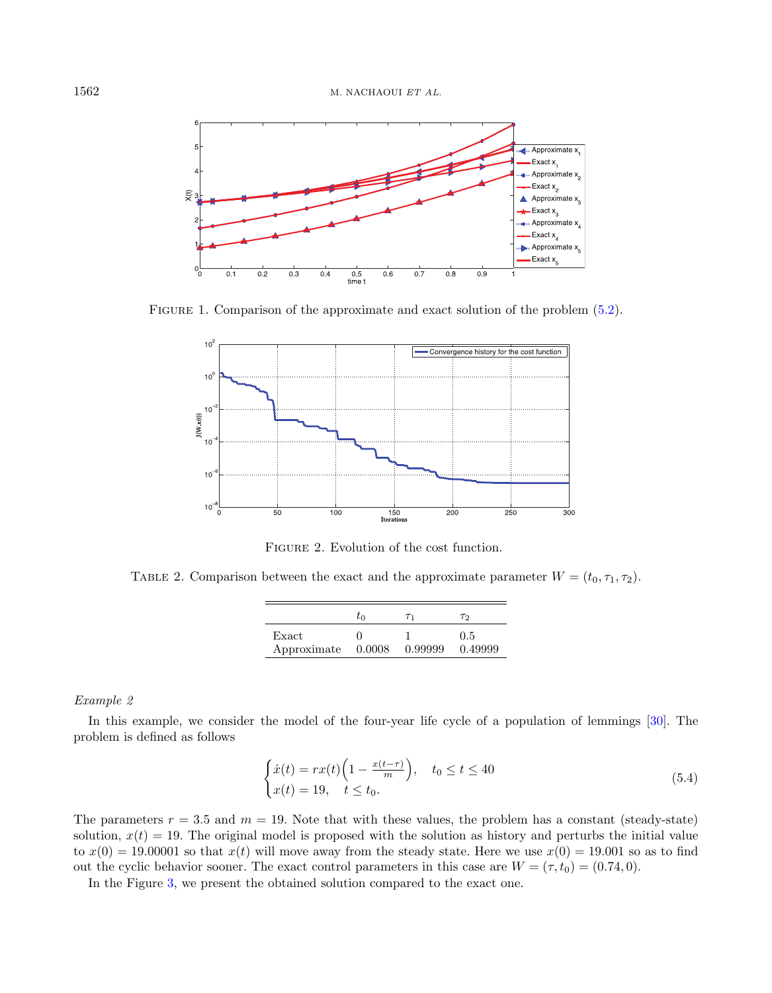

<span id="page-9-0"></span>FIGURE 1. Comparison of the approximate and exact solution of the problem  $(5.2)$ .



<span id="page-9-3"></span>Figure 2. Evolution of the cost function.

<span id="page-9-2"></span><span id="page-9-1"></span>TABLE 2. Comparison between the exact and the approximate parameter  $W = (t_0, \tau_1, \tau_2)$ .

|                    | τn | $T_{1}$ | $\tau_{\Omega}$ |
|--------------------|----|---------|-----------------|
| Exact              |    |         | 0.5             |
| Approximate 0.0008 |    | 0.99999 | 0.49999         |

#### Example 2

In this example, we consider the model of the four-year life cycle of a population of lemmings [\[30\]](#page-16-8). The problem is defined as follows

$$
\begin{cases}\n\dot{x}(t) = rx(t)\left(1 - \frac{x(t-\tau)}{m}\right), & t_0 \le t \le 40 \\
x(t) = 19, & t \le t_0.\n\end{cases}
$$
\n(5.4)

The parameters  $r = 3.5$  and  $m = 19$ . Note that with these values, the problem has a constant (steady-state) solution,  $x(t) = 19$ . The original model is proposed with the solution as history and perturbs the initial value to  $x(0) = 19.00001$  so that  $x(t)$  will move away from the steady state. Here we use  $x(0) = 19.001$  so as to find out the cyclic behavior sooner. The exact control parameters in this case are  $W = (\tau, t_0) = (0.74, 0)$ .

In the Figure [3,](#page-10-0) we present the obtained solution compared to the exact one.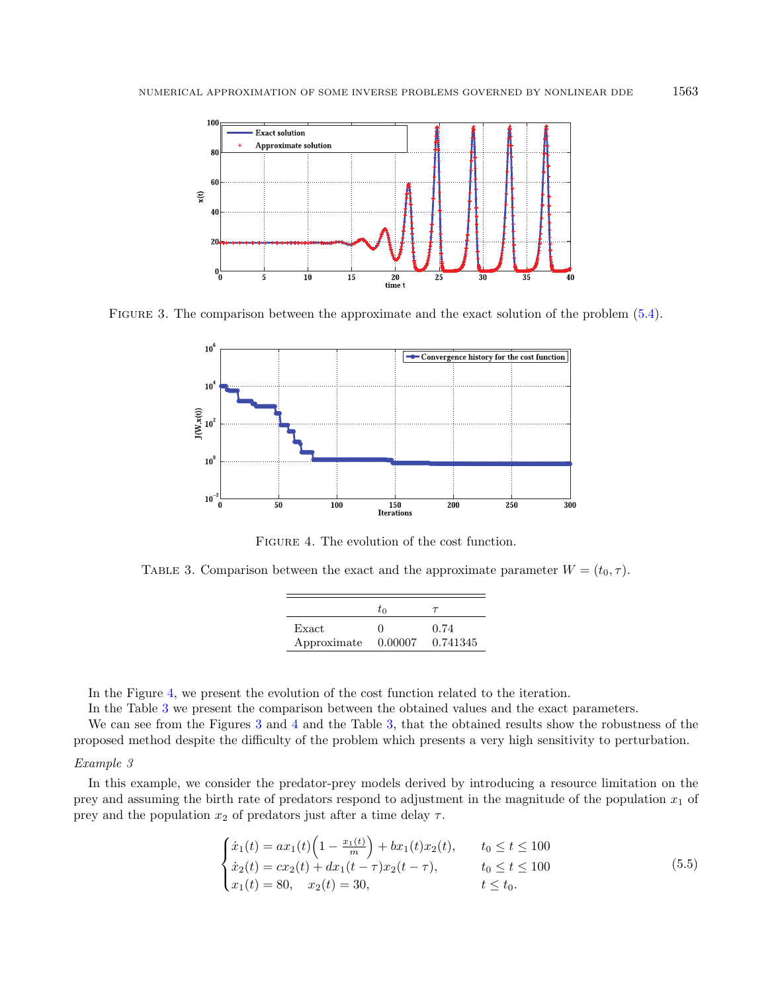

<span id="page-10-0"></span>Figure 3. The comparison between the approximate and the exact solution of the problem [\(5.4\)](#page-9-3).



Figure 4. The evolution of the cost function.

<span id="page-10-2"></span><span id="page-10-1"></span>TABLE 3. Comparison between the exact and the approximate parameter  $W = (t_0, \tau)$ .

|                      | t∩      |                  |
|----------------------|---------|------------------|
| Exact<br>Approximate | 0.00007 | 0.74<br>0.741345 |

In the Figure [4,](#page-10-1) we present the evolution of the cost function related to the iteration.

In the Table [3](#page-10-2) we present the comparison between the obtained values and the exact parameters.

We can see from the Figures [3](#page-10-0) and [4](#page-10-1) and the Table [3,](#page-10-2) that the obtained results show the robustness of the proposed method despite the difficulty of the problem which presents a very high sensitivity to perturbation.

#### Example 3

In this example, we consider the predator-prey models derived by introducing a resource limitation on the prey and assuming the birth rate of predators respond to adjustment in the magnitude of the population  $x_1$  of prey and the population  $x_2$  of predators just after a time delay  $\tau$ .

$$
\begin{cases}\n\dot{x}_1(t) = ax_1(t)\left(1 - \frac{x_1(t)}{m}\right) + bx_1(t)x_2(t), & t_0 \le t \le 100 \\
\dot{x}_2(t) = cx_2(t) + dx_1(t - \tau)x_2(t - \tau), & t_0 \le t \le 100 \\
x_1(t) = 80, & x_2(t) = 30, & t \le t_0.\n\end{cases}
$$
\n(5.5)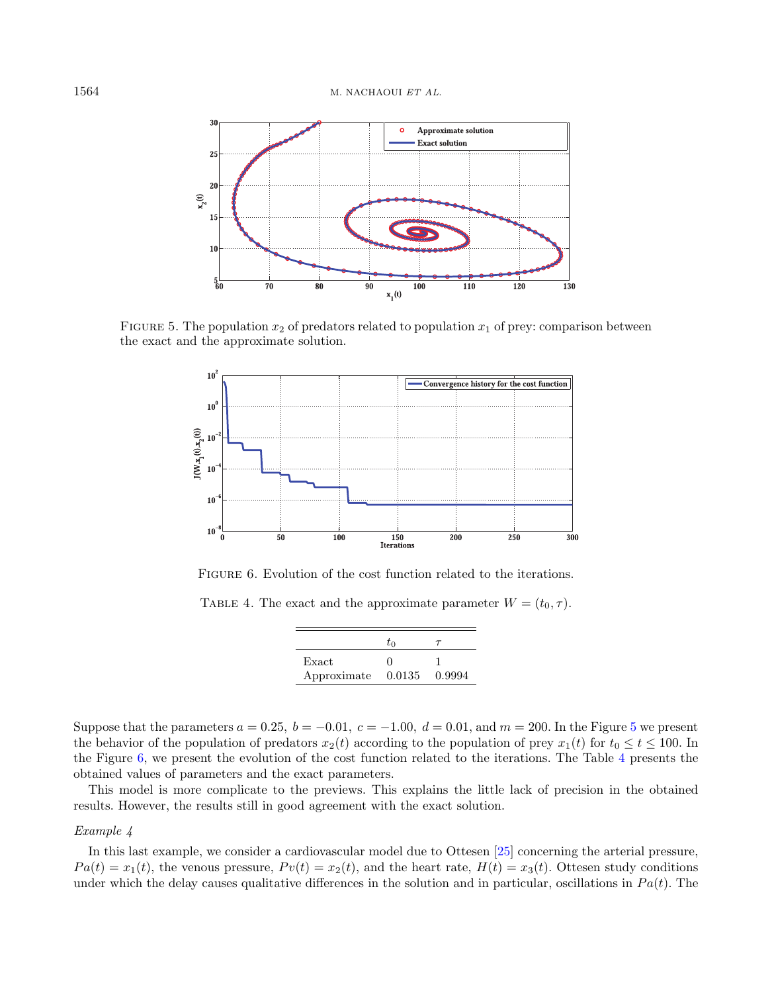

<span id="page-11-0"></span>FIGURE 5. The population  $x_2$  of predators related to population  $x_1$  of prey: comparison between the exact and the approximate solution.



<span id="page-11-1"></span>FIGURE 6. Evolution of the cost function related to the iterations.

<span id="page-11-2"></span>TABLE 4. The exact and the approximate parameter  $W = (t_0, \tau)$ .

|             | t∩     |        |
|-------------|--------|--------|
| Exact       |        |        |
| Approximate | 0.0135 | 0.9994 |

Suppose that the parameters  $a = 0.25$  $a = 0.25$ ,  $b = -0.01$ ,  $c = -1.00$ ,  $d = 0.01$ , and  $m = 200$ . In the Figure 5 we present the behavior of the population of predators  $x_2(t)$  according to the population of prey  $x_1(t)$  for  $t_0 \le t \le 100$ . In the Figure [6,](#page-11-1) we present the evolution of the cost function related to the iterations. The Table [4](#page-11-2) presents the obtained values of parameters and the exact parameters.

This model is more complicate to the previews. This explains the little lack of precision in the obtained results. However, the results still in good agreement with the exact solution.

## Example 4

In this last example, we consider a cardiovascular model due to Ottesen [\[25\]](#page-16-9) concerning the arterial pressure,  $Pa(t) = x_1(t)$ , the venous pressure,  $Pv(t) = x_2(t)$ , and the heart rate,  $H(t) = x_3(t)$ . Ottesen study conditions under which the delay causes qualitative differences in the solution and in particular, oscillations in  $Pa(t)$ . The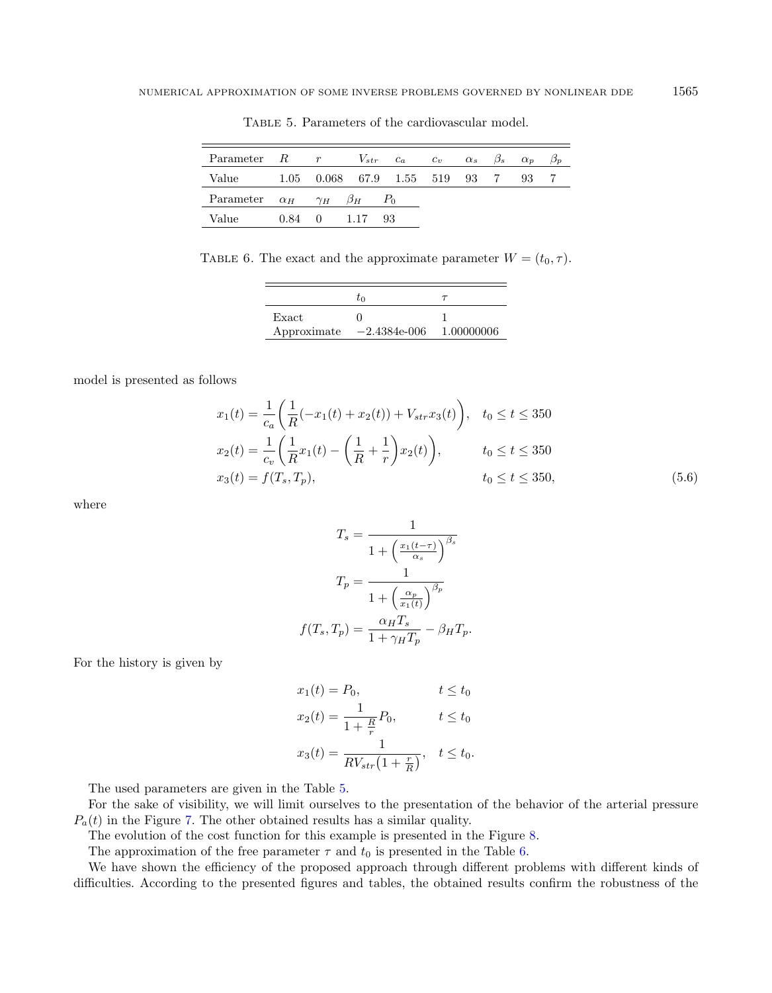<span id="page-12-0"></span>

| Parameter $R$ $r$                               |  |                                    | $V_{str}$ $c_a$ $c_v$ $\alpha_s$ $\beta_s$ $\alpha_p$ $\beta_p$ |  |    |  |
|-------------------------------------------------|--|------------------------------------|-----------------------------------------------------------------|--|----|--|
| Value                                           |  |                                    | $1.05$ 0.068 67.9 1.55 519 93 7                                 |  | 93 |  |
| Parameter $\alpha_H$ $\gamma_H$ $\beta_H$ $P_0$ |  |                                    |                                                                 |  |    |  |
| Value                                           |  | $0.84 \quad 0 \quad 1.17 \quad 93$ |                                                                 |  |    |  |

Table 5. Parameters of the cardiovascular model.

<span id="page-12-1"></span>TABLE 6. The exact and the approximate parameter  $W = (t_0, \tau)$ .

|             | to             |            |
|-------------|----------------|------------|
| Exact       |                |            |
| Approximate | $-2.4384e-006$ | 1.00000006 |

model is presented as follows

$$
x_1(t) = \frac{1}{c_a} \left( \frac{1}{R} (-x_1(t) + x_2(t)) + V_{str} x_3(t) \right), \quad t_0 \le t \le 350
$$
  
\n
$$
x_2(t) = \frac{1}{c_v} \left( \frac{1}{R} x_1(t) - \left( \frac{1}{R} + \frac{1}{r} \right) x_2(t) \right), \qquad t_0 \le t \le 350
$$
  
\n
$$
x_3(t) = f(T_s, T_p), \qquad t_0 \le t \le 350,
$$
  
\n(5.6)

where

$$
T_s = \frac{1}{1 + \left(\frac{x_1(t-\tau)}{\alpha_s}\right)^{\beta_s}}
$$

$$
T_p = \frac{1}{1 + \left(\frac{\alpha_p}{x_1(t)}\right)^{\beta_p}}
$$

$$
f(T_s, T_p) = \frac{\alpha_H T_s}{1 + \gamma_H T_p} - \beta_H T_p.
$$

For the history is given by

$$
x_1(t) = P_0,
$$
  
\n
$$
x_2(t) = \frac{1}{1 + \frac{R}{r}} P_0,
$$
  
\n
$$
x_3(t) = \frac{1}{RV_{str}(1 + \frac{r}{R})}, \quad t \le t_0.
$$

The used parameters are given in the Table [5.](#page-12-0)

For the sake of visibility, we will limit ourselves to the presentation of the behavior of the arterial pressure  $P_a(t)$  in the Figure [7.](#page-13-0) The other obtained results has a similar quality.

The evolution of the cost function for this example is presented in the Figure [8.](#page-13-1)

The approximation of the free parameter  $\tau$  and  $t_0$  is presented in the Table [6.](#page-12-1)

We have shown the efficiency of the proposed approach through different problems with different kinds of difficulties. According to the presented figures and tables, the obtained results confirm the robustness of the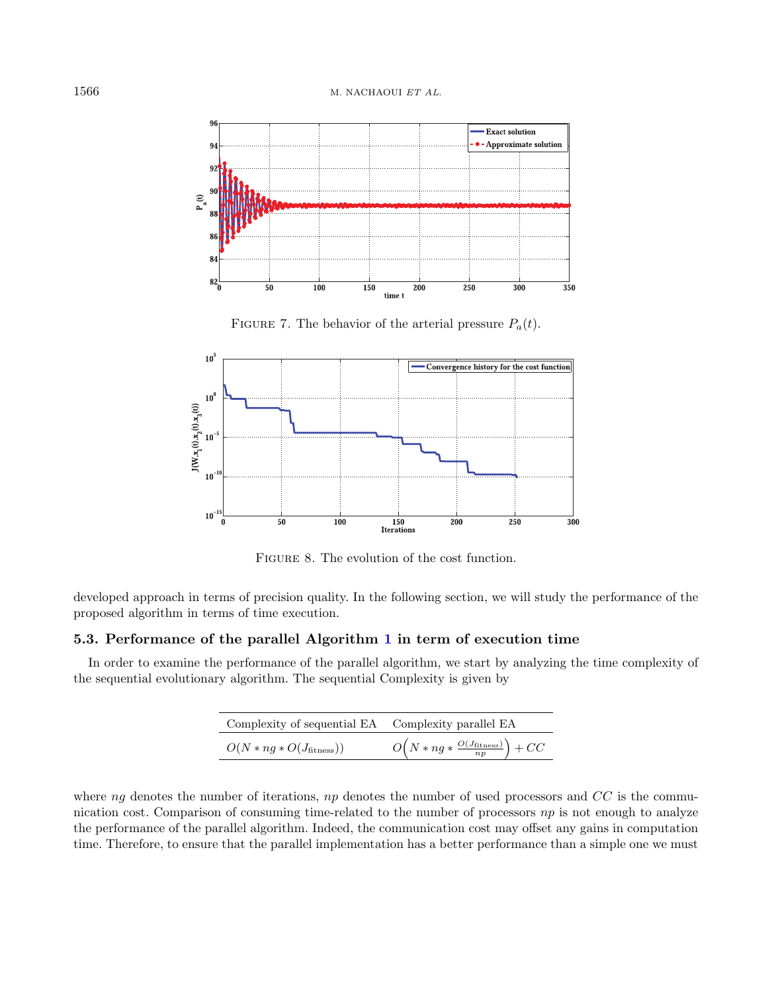

FIGURE 7. The behavior of the arterial pressure  $P_a(t)$ .

<span id="page-13-0"></span>

FIGURE 8. The evolution of the cost function.

<span id="page-13-1"></span>developed approach in terms of precision quality. In the following section, we will study the performance of the proposed algorithm in terms of time execution.

# 5.3. Performance of the parallel Algorithm [1](#page-7-0) in term of execution time

In order to examine the performance of the parallel algorithm, we start by analyzing the time complexity of the sequential evolutionary algorithm. The sequential Complexity is given by

| Complexity of sequential EA Complexity parallel EA |                                                      |
|----------------------------------------------------|------------------------------------------------------|
| $O(N * ng * O(J_{\text{fitness}}))$                | $O(N * n g * \frac{O(J_{\text{fitness}})}{np} + CC)$ |

where  $ng$  denotes the number of iterations,  $np$  denotes the number of used processors and  $CC$  is the communication cost. Comparison of consuming time-related to the number of processors  $np$  is not enough to analyze the performance of the parallel algorithm. Indeed, the communication cost may offset any gains in computation time. Therefore, to ensure that the parallel implementation has a better performance than a simple one we must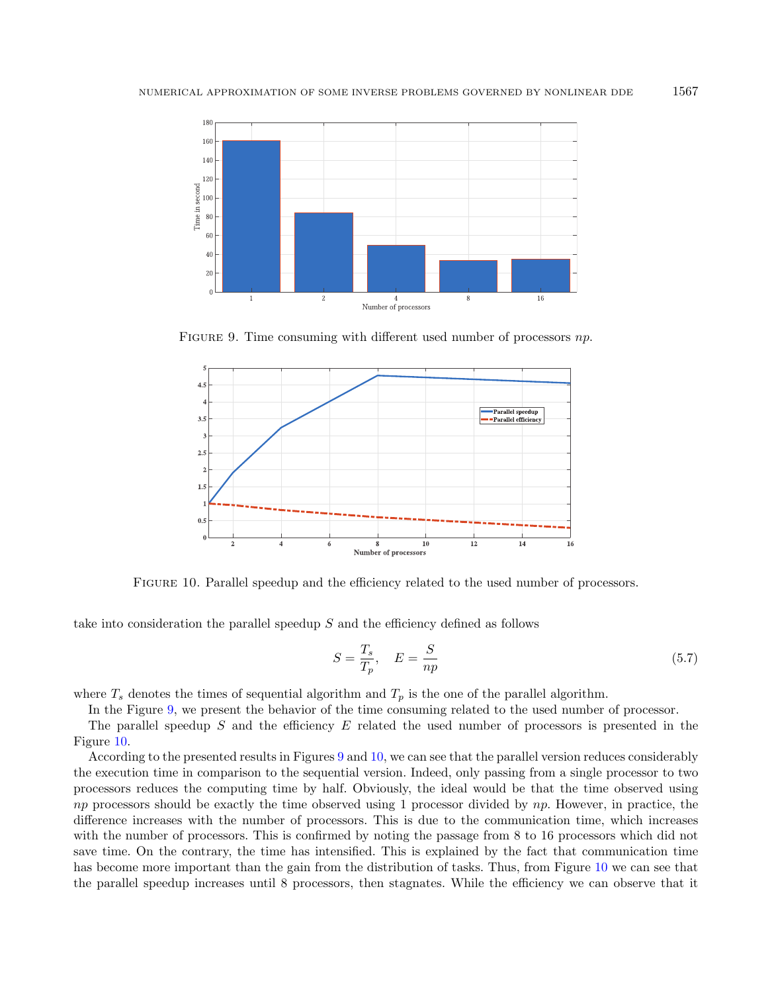

<span id="page-14-0"></span>FIGURE 9. Time consuming with different used number of processors  $np$ .



Figure 10. Parallel speedup and the efficiency related to the used number of processors.

<span id="page-14-1"></span>take into consideration the parallel speedup  $S$  and the efficiency defined as follows

$$
S = \frac{T_s}{T_p}, \quad E = \frac{S}{np}
$$
\n
$$
\tag{5.7}
$$

where  $T_s$  denotes the times of sequential algorithm and  $T_p$  is the one of the parallel algorithm.

In the Figure [9,](#page-14-0) we present the behavior of the time consuming related to the used number of processor.

The parallel speedup  $S$  and the efficiency  $E$  related the used number of processors is presented in the Figure [10.](#page-14-1)

According to the presented results in Figures [9](#page-14-0) and [10,](#page-14-1) we can see that the parallel version reduces considerably the execution time in comparison to the sequential version. Indeed, only passing from a single processor to two processors reduces the computing time by half. Obviously, the ideal would be that the time observed using np processors should be exactly the time observed using 1 processor divided by  $np$ . However, in practice, the difference increases with the number of processors. This is due to the communication time, which increases with the number of processors. This is confirmed by noting the passage from 8 to 16 processors which did not save time. On the contrary, the time has intensified. This is explained by the fact that communication time has become more important than the gain from the distribution of tasks. Thus, from Figure [10](#page-14-1) we can see that the parallel speedup increases until 8 processors, then stagnates. While the efficiency we can observe that it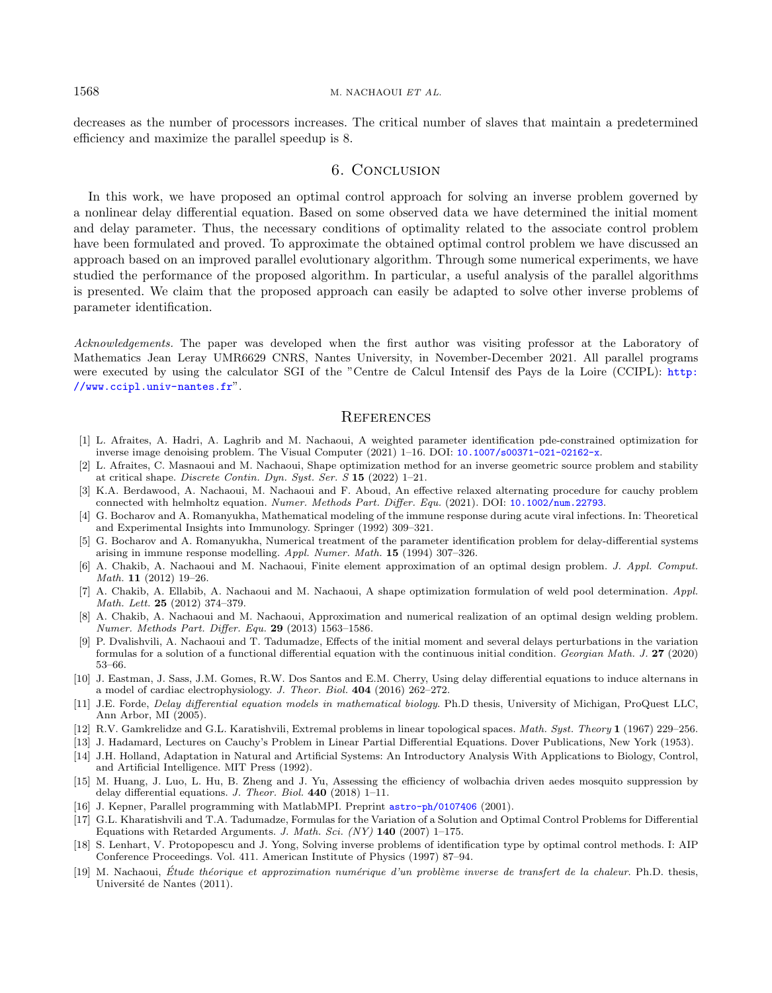decreases as the number of processors increases. The critical number of slaves that maintain a predetermined efficiency and maximize the parallel speedup is 8.

# 6. Conclusion

<span id="page-15-13"></span><span id="page-15-6"></span>In this work, we have proposed an optimal control approach for solving an inverse problem governed by a nonlinear delay differential equation. Based on some observed data we have determined the initial moment and delay parameter. Thus, the necessary conditions of optimality related to the associate control problem have been formulated and proved. To approximate the obtained optimal control problem we have discussed an approach based on an improved parallel evolutionary algorithm. Through some numerical experiments, we have studied the performance of the proposed algorithm. In particular, a useful analysis of the parallel algorithms is presented. We claim that the proposed approach can easily be adapted to solve other inverse problems of parameter identification.

<span id="page-15-12"></span><span id="page-15-7"></span><span id="page-15-5"></span><span id="page-15-4"></span>Acknowledgements. The paper was developed when the first author was visiting professor at the Laboratory of Mathematics Jean Leray UMR6629 CNRS, Nantes University, in November-December 2021. All parallel programs were executed by using the calculator SGI of the "Centre de Calcul Intensif des Pays de la Loire (CCIPL): [http:](http://www.ccipl.univ-nantes.fr) [//www.ccipl.univ-nantes.fr](http://www.ccipl.univ-nantes.fr)".

# **REFERENCES**

- <span id="page-15-17"></span><span id="page-15-9"></span>[1] L. Afraites, A. Hadri, A. Laghrib and M. Nachaoui, A weighted parameter identification pde-constrained optimization for inverse image denoising problem. The Visual Computer (2021) 1–16. DOI: [10.1007/s00371-021-02162-x](https://doi.org/10.1007/s00371-021-02162-x).
- <span id="page-15-1"></span>[2] L. Afraites, C. Masnaoui and M. Nachaoui, Shape optimization method for an inverse geometric source problem and stability at critical shape. Discrete Contin. Dyn. Syst. Ser. S 15 (2022) 1–21.
- <span id="page-15-2"></span>[3] K.A. Berdawood, A. Nachaoui, M. Nachaoui and F. Aboud, An effective relaxed alternating procedure for cauchy problem connected with helmholtz equation. Numer. Methods Part. Differ. Equ. (2021). DOI: [10.1002/num.22793](https://doi.org/10.1002/num.22793).
- <span id="page-15-0"></span>[4] G. Bocharov and A. Romanyukha, Mathematical modeling of the immune response during acute viral infections. In: Theoretical and Experimental Insights into Immunology. Springer (1992) 309–321.
- <span id="page-15-14"></span>[5] G. Bocharov and A. Romanyukha, Numerical treatment of the parameter identification problem for delay-differential systems arising in immune response modelling. Appl. Numer. Math. 15 (1994) 307–326.
- <span id="page-15-16"></span><span id="page-15-8"></span>[6] A. Chakib, A. Nachaoui and M. Nachaoui, Finite element approximation of an optimal design problem. J. Appl. Comput. Math. 11 (2012) 19–26.
- <span id="page-15-3"></span>[7] A. Chakib, A. Ellabib, A. Nachaoui and M. Nachaoui, A shape optimization formulation of weld pool determination. Appl. Math. Lett. 25 (2012) 374–379.
- <span id="page-15-18"></span>[8] A. Chakib, A. Nachaoui and M. Nachaoui, Approximation and numerical realization of an optimal design welding problem. Numer. Methods Part. Differ. Equ. 29 (2013) 1563–1586.
- <span id="page-15-15"></span><span id="page-15-10"></span>[9] P. Dvalishvili, A. Nachaoui and T. Tadumadze, Effects of the initial moment and several delays perturbations in the variation formulas for a solution of a functional differential equation with the continuous initial condition. Georgian Math. J. 27 (2020) 53–66.
- <span id="page-15-11"></span>[10] J. Eastman, J. Sass, J.M. Gomes, R.W. Dos Santos and E.M. Cherry, Using delay differential equations to induce alternans in a model of cardiac electrophysiology. J. Theor. Biol. 404 (2016) 262–272.
- [11] J.E. Forde, Delay differential equation models in mathematical biology. Ph.D thesis, University of Michigan, ProQuest LLC, Ann Arbor, MI (2005).
- [12] R.V. Gamkrelidze and G.L. Karatishvili, Extremal problems in linear topological spaces. Math. Syst. Theory 1 (1967) 229–256.
- [13] J. Hadamard, Lectures on Cauchy's Problem in Linear Partial Differential Equations. Dover Publications, New York (1953).
- [14] J.H. Holland, Adaptation in Natural and Artificial Systems: An Introductory Analysis With Applications to Biology, Control, and Artificial Intelligence. MIT Press (1992).
- [15] M. Huang, J. Luo, L. Hu, B. Zheng and J. Yu, Assessing the efficiency of wolbachia driven aedes mosquito suppression by delay differential equations. J. Theor. Biol. 440 (2018) 1–11.
- [16] J. Kepner, Parallel programming with MatlabMPI. Preprint [astro-ph/0107406](https://arxiv.org/abs/astro-ph/0107406) (2001).
- [17] G.L. Kharatishvili and T.A. Tadumadze, Formulas for the Variation of a Solution and Optimal Control Problems for Differential Equations with Retarded Arguments. J. Math. Sci.  $(NY)$  140 (2007) 1–175.
- [18] S. Lenhart, V. Protopopescu and J. Yong, Solving inverse problems of identification type by optimal control methods. I: AIP Conference Proceedings. Vol. 411. American Institute of Physics (1997) 87–94.
- $[19]$  M. Nachaoui, Étude théorique et approximation numérique d'un problème inverse de transfert de la chaleur. Ph.D. thesis, Université de Nantes (2011).